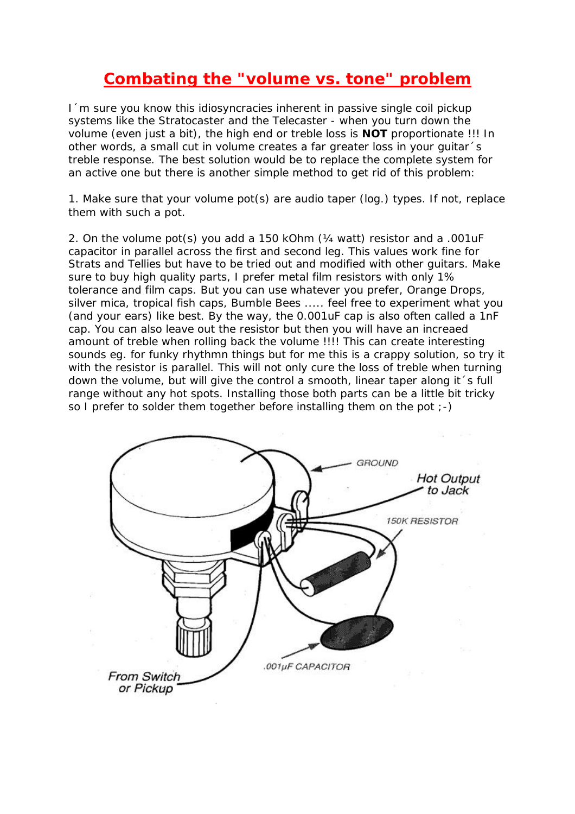## **Combating the "volume vs. tone" problem**

I´m sure you know this idiosyncracies inherent in passive single coil pickup systems like the Stratocaster and the Telecaster - when you turn down the volume (even just a bit), the high end or treble loss is **NOT** proportionate !!! In other words, a small cut in volume creates a far greater loss in your guitar´s treble response. The best solution would be to replace the complete system for an active one but there is another simple method to get rid of this problem:

1. Make sure that your volume pot(s) are audio taper (log.) types. If not, replace them with such a pot.

2. On the volume pot(s) you add a 150 kOhm (¼ watt) resistor and a .001uF capacitor in parallel across the first and second leg. This values work fine for Strats and Tellies but have to be tried out and modified with other guitars. Make sure to buy high quality parts, I prefer metal film resistors with only 1% tolerance and film caps. But you can use whatever you prefer, Orange Drops, silver mica, tropical fish caps, Bumble Bees ..... feel free to experiment what you (and your ears) like best. By the way, the 0.001uF cap is also often called a 1nF cap. You can also leave out the resistor but then you will have an increaed amount of treble when rolling back the volume !!!! This can create interesting sounds eg. for funky rhythmn things but for me this is a crappy solution, so try it with the resistor is parallel. This will not only cure the loss of treble when turning down the volume, but will give the control a smooth, linear taper along it´s full range without any hot spots. Installing those both parts can be a little bit tricky so I prefer to solder them together before installing them on the pot  $(-)$